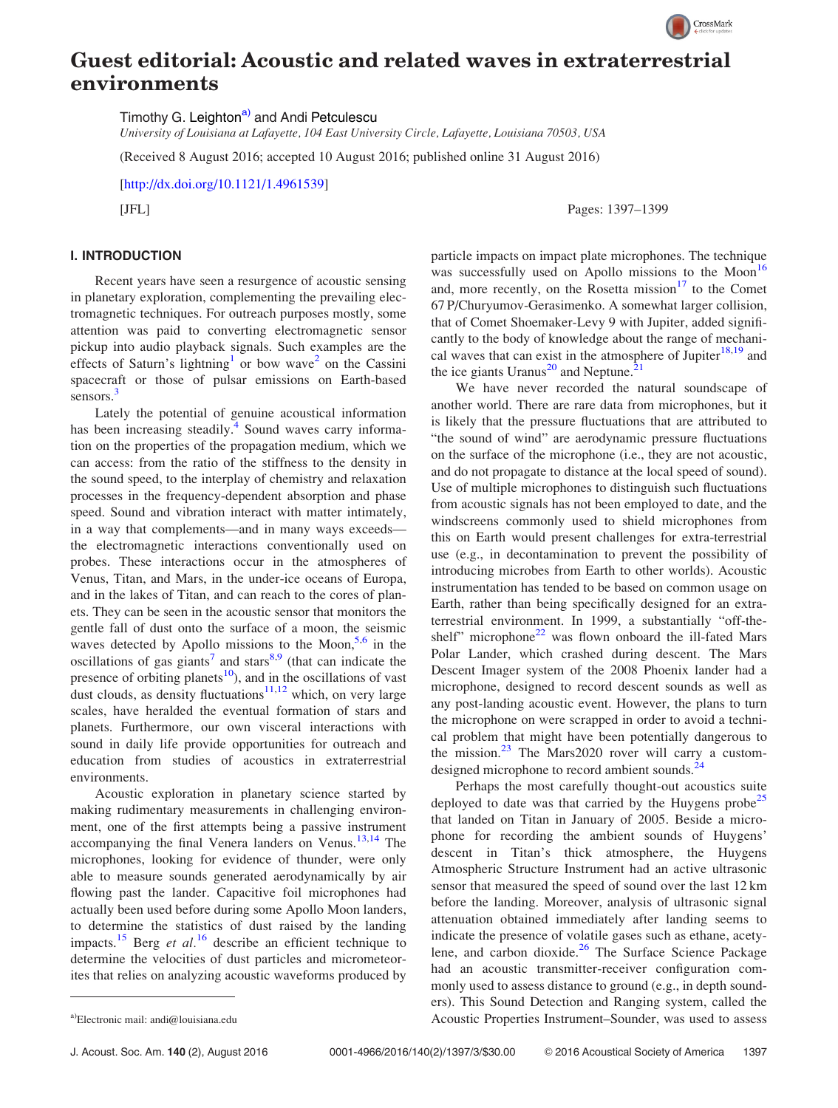

## Guest editorial: Acoustic and related waves in extraterrestrial environments

Timothy G. Leighton<sup>a)</sup> and Andi Petculescu

University of Louisiana at Lafayette, 104 East University Circle, Lafayette, Louisiana 70503, USA

(Received 8 August 2016; accepted 10 August 2016; published online 31 August 2016)

[[http://dx.doi.org/10.1121/1.4961539\]](http://dx.doi.org/10.1121/1.4961539)

[JFL] Pages: 1397–1399

## I. INTRODUCTION

Recent years have seen a resurgence of acoustic sensing in planetary exploration, complementing the prevailing electromagnetic techniques. For outreach purposes mostly, some attention was paid to converting electromagnetic sensor pickup into audio playback signals. Such examples are the effects of Saturn's lightning<sup>[1](#page-1-0)</sup> or bow wave<sup>[2](#page-1-0)</sup> on the Cassini spacecraft or those of pulsar emissions on Earth-based sensors.<sup>3</sup>

Lately the potential of genuine acoustical information has been increasing steadily.<sup>[4](#page-1-0)</sup> Sound waves carry information on the properties of the propagation medium, which we can access: from the ratio of the stiffness to the density in the sound speed, to the interplay of chemistry and relaxation processes in the frequency-dependent absorption and phase speed. Sound and vibration interact with matter intimately, in a way that complements—and in many ways exceeds the electromagnetic interactions conventionally used on probes. These interactions occur in the atmospheres of Venus, Titan, and Mars, in the under-ice oceans of Europa, and in the lakes of Titan, and can reach to the cores of planets. They can be seen in the acoustic sensor that monitors the gentle fall of dust onto the surface of a moon, the seismic waves detected by Apollo missions to the Moon,<sup>[5,6](#page-1-0)</sup> in the oscillations of gas giants<sup>[7](#page-1-0)</sup> and stars<sup>[8,9](#page-1-0)</sup> (that can indicate the presence of orbiting planets<sup>10</sup>), and in the oscillations of vast dust clouds, as density fluctuations<sup>[11,12](#page-1-0)</sup> which, on very large scales, have heralded the eventual formation of stars and planets. Furthermore, our own visceral interactions with sound in daily life provide opportunities for outreach and education from studies of acoustics in extraterrestrial environments.

Acoustic exploration in planetary science started by making rudimentary measurements in challenging environment, one of the first attempts being a passive instrument accompanying the final Venera landers on Venus.<sup>[13,14](#page-1-0)</sup> The microphones, looking for evidence of thunder, were only able to measure sounds generated aerodynamically by air flowing past the lander. Capacitive foil microphones had actually been used before during some Apollo Moon landers, to determine the statistics of dust raised by the landing impacts.<sup>[15](#page-1-0)</sup> Berg *et al.*<sup>[16](#page-1-0)</sup> describe an efficient technique to determine the velocities of dust particles and micrometeorites that relies on analyzing acoustic waveforms produced by particle impacts on impact plate microphones. The technique was successfully used on Apollo missions to the Moon $^{16}$  $^{16}$  $^{16}$ and, more recently, on the Rosetta mission $17$  to the Comet 67 P/Churyumov-Gerasimenko. A somewhat larger collision, that of Comet Shoemaker-Levy 9 with Jupiter, added significantly to the body of knowledge about the range of mechanical waves that can exist in the atmosphere of Jupiter $^{18,19}$  $^{18,19}$  $^{18,19}$  and the ice giants Uranus<sup>[20](#page-2-0)</sup> and Neptune.<sup>[21](#page-2-0)</sup>

We have never recorded the natural soundscape of another world. There are rare data from microphones, but it is likely that the pressure fluctuations that are attributed to "the sound of wind" are aerodynamic pressure fluctuations on the surface of the microphone (i.e., they are not acoustic, and do not propagate to distance at the local speed of sound). Use of multiple microphones to distinguish such fluctuations from acoustic signals has not been employed to date, and the windscreens commonly used to shield microphones from this on Earth would present challenges for extra-terrestrial use (e.g., in decontamination to prevent the possibility of introducing microbes from Earth to other worlds). Acoustic instrumentation has tended to be based on common usage on Earth, rather than being specifically designed for an extraterrestrial environment. In 1999, a substantially "off-theshelf" microphone $22$  was flown onboard the ill-fated Mars Polar Lander, which crashed during descent. The Mars Descent Imager system of the 2008 Phoenix lander had a microphone, designed to record descent sounds as well as any post-landing acoustic event. However, the plans to turn the microphone on were scrapped in order to avoid a technical problem that might have been potentially dangerous to the mission. $^{23}$  $^{23}$  $^{23}$  The Mars2020 rover will carry a customdesigned microphone to record ambient sounds.<sup>2</sup>

Perhaps the most carefully thought-out acoustics suite deployed to date was that carried by the Huygens probe<sup>[25](#page-2-0)</sup> that landed on Titan in January of 2005. Beside a microphone for recording the ambient sounds of Huygens' descent in Titan's thick atmosphere, the Huygens Atmospheric Structure Instrument had an active ultrasonic sensor that measured the speed of sound over the last 12 km before the landing. Moreover, analysis of ultrasonic signal attenuation obtained immediately after landing seems to indicate the presence of volatile gases such as ethane, acety-lene, and carbon dioxide.<sup>[26](#page-2-0)</sup> The Surface Science Package had an acoustic transmitter-receiver configuration commonly used to assess distance to ground (e.g., in depth sounders). This Sound Detection and Ranging system, called the a)Electronic mail: [andi@louisiana.edu](mailto:andi@louisiana.edu) **andialism** Acoustic Properties Instrument–Sounder, was used to assess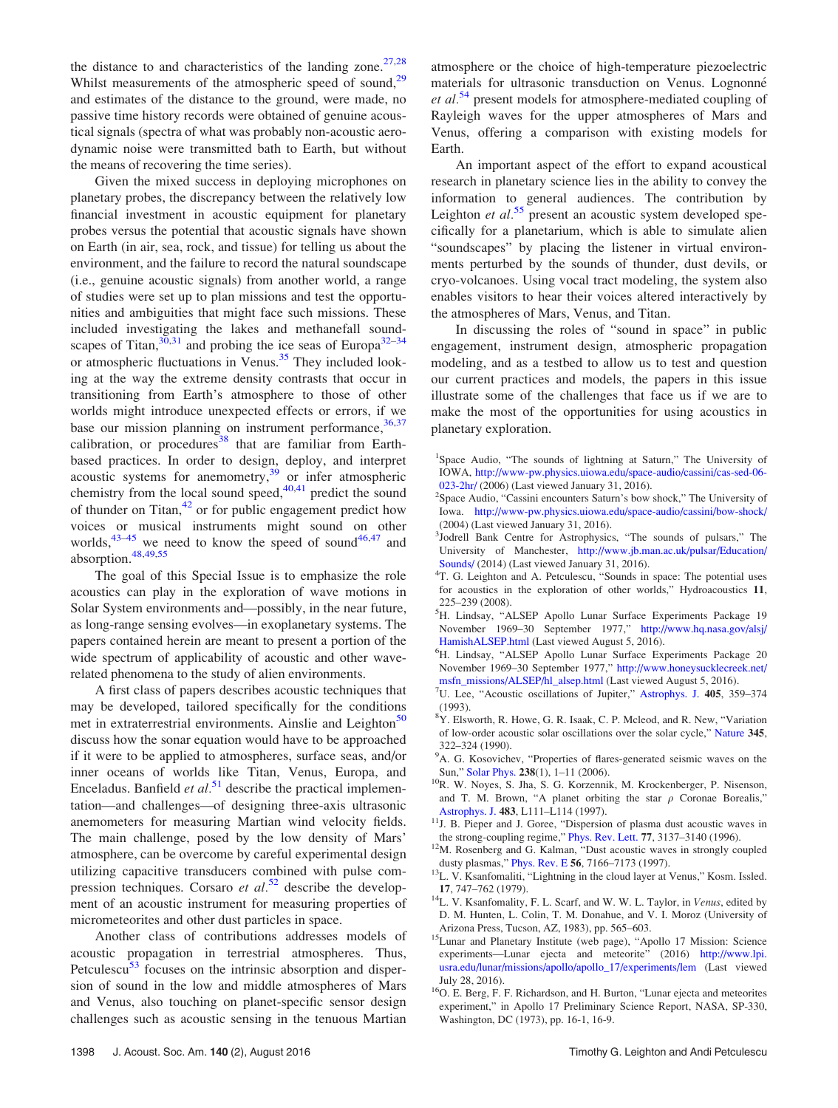<span id="page-1-0"></span>the distance to and characteristics of the landing zone.<sup>27,28</sup> Whilst measurements of the atmospheric speed of sound,<sup>29</sup> and estimates of the distance to the ground, were made, no passive time history records were obtained of genuine acoustical signals (spectra of what was probably non-acoustic aerodynamic noise were transmitted bath to Earth, but without the means of recovering the time series).

Given the mixed success in deploying microphones on planetary probes, the discrepancy between the relatively low financial investment in acoustic equipment for planetary probes versus the potential that acoustic signals have shown on Earth (in air, sea, rock, and tissue) for telling us about the environment, and the failure to record the natural soundscape (i.e., genuine acoustic signals) from another world, a range of studies were set up to plan missions and test the opportunities and ambiguities that might face such missions. These included investigating the lakes and methanefall soundscapes of Titan,  $30,31$  and probing the ice seas of Europa<sup>[32–34](#page-2-0)</sup> or atmospheric fluctuations in Venus.<sup>[35](#page-2-0)</sup> They included looking at the way the extreme density contrasts that occur in transitioning from Earth's atmosphere to those of other worlds might introduce unexpected effects or errors, if we base our mission planning on instrument performance,  $36,37$ calibration, or procedures<sup>[38](#page-2-0)</sup> that are familiar from Earthbased practices. In order to design, deploy, and interpret acoustic systems for anemometry,<sup>[39](#page-2-0)</sup> or infer atmospheric chemistry from the local sound speed, $40,41$  predict the sound of thunder on Titan,[42](#page-2-0) or for public engagement predict how voices or musical instruments might sound on other worlds,<sup>[43–45](#page-2-0)</sup> we need to know the speed of sound<sup>[46,47](#page-2-0)</sup> and absorption[.48,49,55](#page-2-0)

The goal of this Special Issue is to emphasize the role acoustics can play in the exploration of wave motions in Solar System environments and—possibly, in the near future, as long-range sensing evolves—in exoplanetary systems. The papers contained herein are meant to present a portion of the wide spectrum of applicability of acoustic and other waverelated phenomena to the study of alien environments.

A first class of papers describes acoustic techniques that may be developed, tailored specifically for the conditions met in extraterrestrial environments. Ainslie and Leighton<sup>[50](#page-2-0)</sup> discuss how the sonar equation would have to be approached if it were to be applied to atmospheres, surface seas, and/or inner oceans of worlds like Titan, Venus, Europa, and Enceladus. Banfield *et al.*<sup>[51](#page-2-0)</sup> describe the practical implementation—and challenges—of designing three-axis ultrasonic anemometers for measuring Martian wind velocity fields. The main challenge, posed by the low density of Mars' atmosphere, can be overcome by careful experimental design utilizing capacitive transducers combined with pulse compression techniques. Corsaro et  $al$ <sup>[52](#page-2-0)</sup> describe the development of an acoustic instrument for measuring properties of micrometeorites and other dust particles in space.

Another class of contributions addresses models of acoustic propagation in terrestrial atmospheres. Thus, Petculescu<sup>[53](#page-2-0)</sup> focuses on the intrinsic absorption and dispersion of sound in the low and middle atmospheres of Mars and Venus, also touching on planet-specific sensor design challenges such as acoustic sensing in the tenuous Martian atmosphere or the choice of high-temperature piezoelectric materials for ultrasonic transduction on Venus. Lognonné *et al.*<sup>[54](#page-2-0)</sup> present models for atmosphere-mediated coupling of Rayleigh waves for the upper atmospheres of Mars and Venus, offering a comparison with existing models for Earth.

An important aspect of the effort to expand acoustical research in planetary science lies in the ability to convey the information to general audiences. The contribution by Leighton et  $al$ .<sup>[55](#page-2-0)</sup> present an acoustic system developed specifically for a planetarium, which is able to simulate alien "soundscapes" by placing the listener in virtual environments perturbed by the sounds of thunder, dust devils, or cryo-volcanoes. Using vocal tract modeling, the system also enables visitors to hear their voices altered interactively by the atmospheres of Mars, Venus, and Titan.

In discussing the roles of "sound in space" in public engagement, instrument design, atmospheric propagation modeling, and as a testbed to allow us to test and question our current practices and models, the papers in this issue illustrate some of the challenges that face us if we are to make the most of the opportunities for using acoustics in planetary exploration.

- <sup>1</sup>Space Audio, "The sounds of lightning at Saturn," The University of IOWA, [http://www-pw.physics.uiowa.edu/space-audio/cassini/cas-sed-06-](http://www-pw.physics.uiowa.edu/space-audio/cassini/cas-sed-06-023-2hr/) [023-2hr/](http://www-pw.physics.uiowa.edu/space-audio/cassini/cas-sed-06-023-2hr/) (2006) (Last viewed January 31, 2016). <sup>2</sup>
- <sup>2</sup>Space Audio, "Cassini encounters Saturn's bow shock," The University of Iowa. <http://www-pw.physics.uiowa.edu/space-audio/cassini/bow-shock/> (2004) (Last viewed January 31, 2016).
- 3 Jodrell Bank Centre for Astrophysics, "The sounds of pulsars," The University of Manchester, [http://www.jb.man.ac.uk/pulsar/Education/](http://www.jb.man.ac.uk/pulsar/Education/Sounds/) [Sounds/](http://www.jb.man.ac.uk/pulsar/Education/Sounds/) (2014) (Last viewed January 31, 2016).
- <sup>4</sup>T. G. Leighton and A. Petculescu, "Sounds in space: The potential uses for acoustics in the exploration of other worlds," Hydroacoustics 11, 225–239 (2008).
- 5 H. Lindsay, "ALSEP Apollo Lunar Surface Experiments Package 19 November 1969–30 September 1977," [http://www.hq.nasa.gov/alsj/](http://www.hq.nasa.gov/alsj/HamishALSEP.html) [HamishALSEP.html](http://www.hq.nasa.gov/alsj/HamishALSEP.html) (Last viewed August 5, 2016).
- <sup>6</sup>H. Lindsay, "ALSEP Apollo Lunar Surface Experiments Package 20 November 1969–30 September 1977," [http://www.honeysucklecreek.net/](http://www.honeysucklecreek.net/msfn_missions/ALSEP/hl_alsep.html) [msfn\\_missions/ALSEP/hl\\_alsep.html](http://www.honeysucklecreek.net/msfn_missions/ALSEP/hl_alsep.html) (Last viewed August 5, 2016).
- <sup>7</sup>U. Lee, "Acoustic oscillations of Jupiter," [Astrophys. J.](http://dx.doi.org/10.1086/172368) 405, 359–374 (1993).
- <sup>8</sup>Y. Elsworth, R. Howe, G. R. Isaak, C. P. Mcleod, and R. New, "Variation of low-order acoustic solar oscillations over the solar cycle," [Nature](http://dx.doi.org/10.1038/345322a0) 345, 322–324 (1990).
- <sup>9</sup>A. G. Kosovichev, "Properties of flares-generated seismic waves on the
- Sun," [Solar Phys.](http://dx.doi.org/10.1007/s11207-006-0190-6)  $238(1)$ , 1–11 (2006). <sup>10</sup>R. W. Noyes, S. Jha, S. G. Korzennik, M. Krockenberger, P. Nisenson, and T. M. Brown, "A planet orbiting the star  $\rho$  Coronae Borealis,"
- [Astrophys. J.](http://dx.doi.org/10.1086/310754) 483, L111–L114 (1997).<br><sup>11</sup>J. B. Pieper and J. Goree, "Dispersion of plasma dust acoustic waves in
- the strong-coupling regime," [Phys. Rev. Lett.](http://dx.doi.org/10.1103/PhysRevLett.77.3137) 77, 3137–3140 (1996). <sup>12</sup>M. Rosenberg and G. Kalman, "Dust acoustic waves in strongly coupled
- dusty plasmas," [Phys. Rev. E](http://dx.doi.org/10.1103/PhysRevE.56.7166) 56, 7166–7173 (1997).<br><sup>13</sup>L. V. Ksanfomaliti, "Lightning in the cloud layer at Venus," Kosm. Issled.
- 17, 747–762 (1979).<br><sup>14</sup>L. V. Ksanfomality, F. L. Scarf, and W. W. L. Taylor, in *Venus*, edited by D. M. Hunten, L. Colin, T. M. Donahue, and V. I. Moroz (University of
- <sup>15</sup>Lunar and Planetary Institute (web page), "Apollo 17 Mission: Science experiments—Lunar ejecta and meteorite" (2016) [http://www.lpi.](http://www.lpi.usra.edu/lunar/missions/apollo/apollo_17/experiments/lem) [usra.edu/lunar/missions/apollo/apollo\\_17/experiments/lem](http://www.lpi.usra.edu/lunar/missions/apollo/apollo_17/experiments/lem) (Last viewed
- July 28, 2016). <sup>16</sup>O. E. Berg, F. F. Richardson, and H. Burton, "Lunar ejecta and meteorites experiment," in Apollo 17 Preliminary Science Report, NASA, SP-330, Washington, DC (1973), pp. 16-1, 16-9.